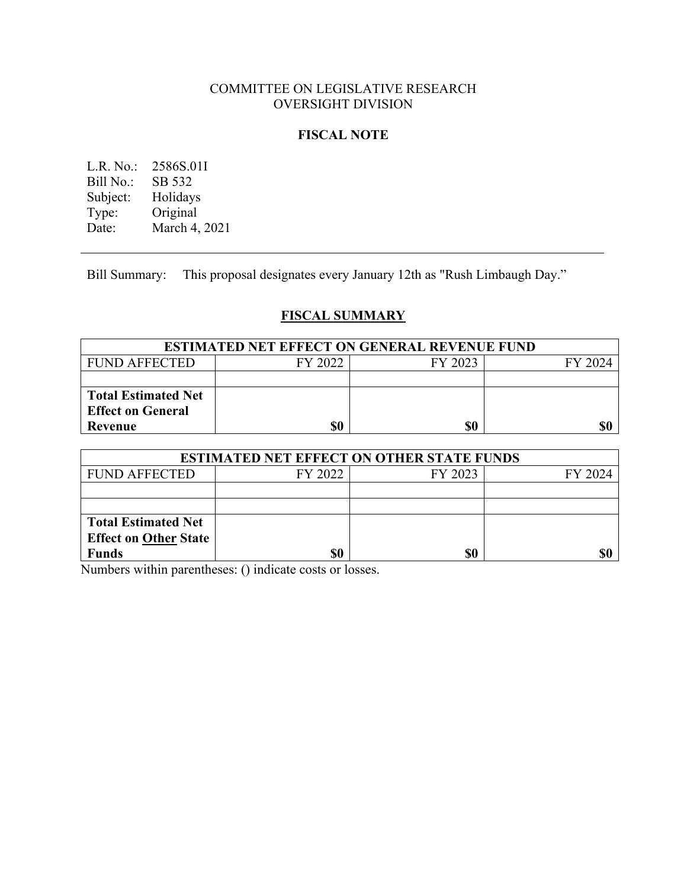## COMMITTEE ON LEGISLATIVE RESEARCH OVERSIGHT DIVISION

### **FISCAL NOTE**

L.R. No.: 2586S.01I<br>Bill No.: SB 532 Bill No.: Subject: Holidays<br>Type: Original Type: Original<br>Date: March 4, March 4, 2021

Bill Summary: This proposal designates every January 12th as "Rush Limbaugh Day."

# **FISCAL SUMMARY**

| <b>ESTIMATED NET EFFECT ON GENERAL REVENUE FUND</b> |         |         |         |
|-----------------------------------------------------|---------|---------|---------|
| <b>FUND AFFECTED</b>                                | FY 2022 | FY 2023 | FY 2024 |
|                                                     |         |         |         |
| <b>Total Estimated Net</b>                          |         |         |         |
| <b>Effect on General</b>                            |         |         |         |
| Revenue                                             | \$0     | \$0     |         |

| <b>ESTIMATED NET EFFECT ON OTHER STATE FUNDS</b> |         |         |         |  |
|--------------------------------------------------|---------|---------|---------|--|
| <b>FUND AFFECTED</b>                             | FY 2022 | FY 2023 | FY 2024 |  |
|                                                  |         |         |         |  |
|                                                  |         |         |         |  |
| <b>Total Estimated Net</b>                       |         |         |         |  |
| <b>Effect on Other State</b>                     |         |         |         |  |
| <b>Funds</b>                                     | \$0     | \$0     |         |  |

Numbers within parentheses: () indicate costs or losses.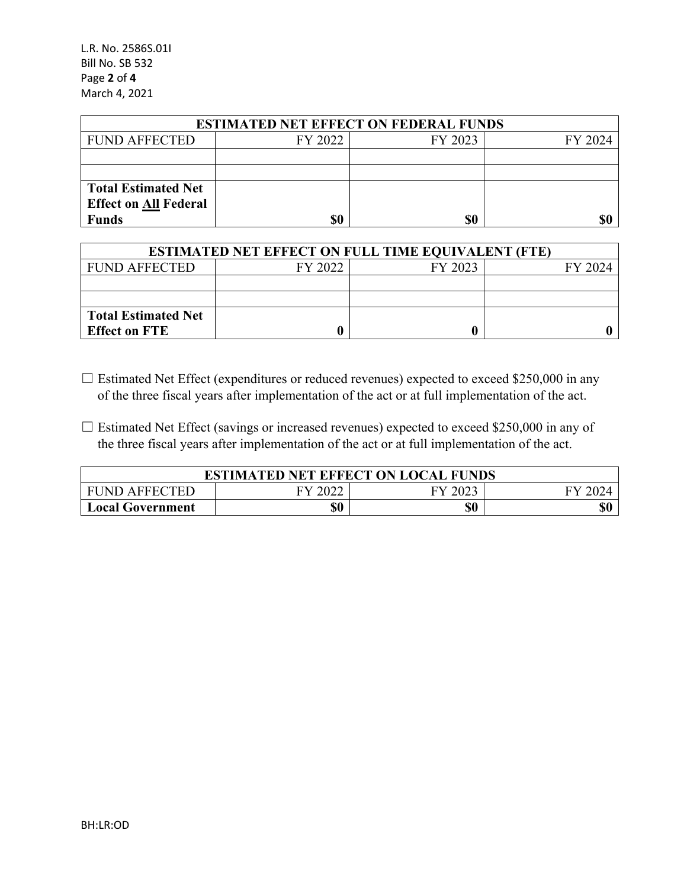L.R. No. 2586S.01I Bill No. SB 532 Page **2** of **4** March 4, 2021

| <b>ESTIMATED NET EFFECT ON FEDERAL FUNDS</b> |         |         |         |  |
|----------------------------------------------|---------|---------|---------|--|
| <b>FUND AFFECTED</b>                         | FY 2022 | FY 2023 | FY 2024 |  |
|                                              |         |         |         |  |
|                                              |         |         |         |  |
| <b>Total Estimated Net</b>                   |         |         |         |  |
| <b>Effect on All Federal</b>                 |         |         |         |  |
| <b>Funds</b>                                 | \$0     | \$0     | \$0     |  |

| <b>ESTIMATED NET EFFECT ON FULL TIME EQUIVALENT (FTE)</b> |         |         |         |  |
|-----------------------------------------------------------|---------|---------|---------|--|
| <b>FUND AFFECTED</b>                                      | FY 2022 | FY 2023 | FY 2024 |  |
|                                                           |         |         |         |  |
|                                                           |         |         |         |  |
| <b>Total Estimated Net</b>                                |         |         |         |  |
| <b>Effect on FTE</b>                                      |         |         |         |  |

- ☐ Estimated Net Effect (expenditures or reduced revenues) expected to exceed \$250,000 in any of the three fiscal years after implementation of the act or at full implementation of the act.
- $\Box$  Estimated Net Effect (savings or increased revenues) expected to exceed \$250,000 in any of the three fiscal years after implementation of the act or at full implementation of the act.

| <b>ESTIMATED NET EFFECT ON LOCAL FUNDS</b> |     |         |  |
|--------------------------------------------|-----|---------|--|
| ' FUND AFFECTED                            |     | FY 2023 |  |
| <b>Local Government</b>                    | \$0 | \$0     |  |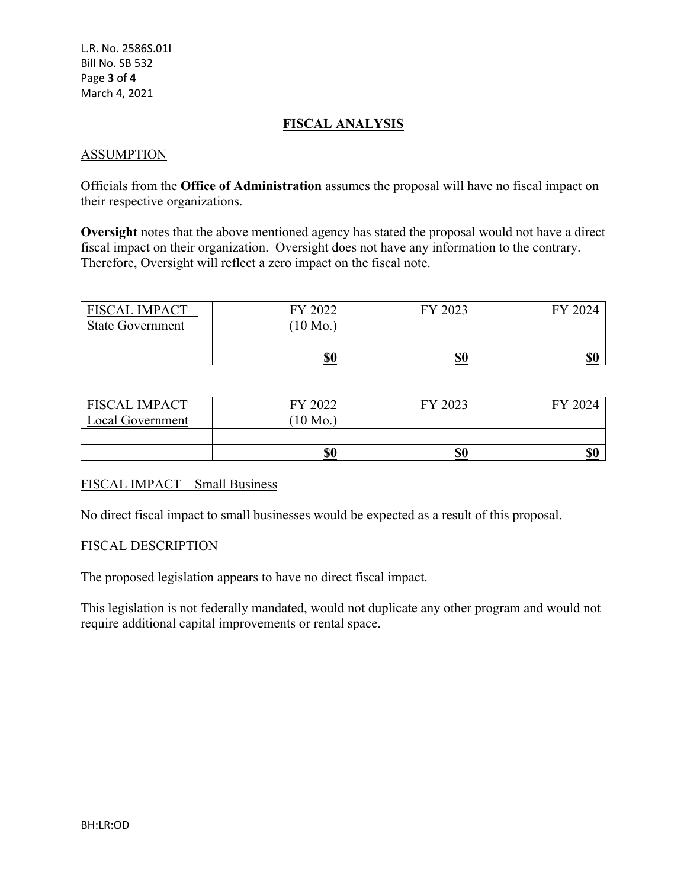## **FISCAL ANALYSIS**

### ASSUMPTION

Officials from the **Office of Administration** assumes the proposal will have no fiscal impact on their respective organizations.

**Oversight** notes that the above mentioned agency has stated the proposal would not have a direct fiscal impact on their organization. Oversight does not have any information to the contrary. Therefore, Oversight will reflect a zero impact on the fiscal note.

| <b>FISCAL IMPACT</b>    | FY 2022           | FY 2023    | FY 2024    |
|-------------------------|-------------------|------------|------------|
| <b>State Government</b> | $^{\prime}10$ Mo. |            |            |
|                         | \$0               | <u>\$0</u> | <b>\$0</b> |

| <b>FISCAL IMPACT -</b> | FY 2022    | FY 2023    | FY 2024    |
|------------------------|------------|------------|------------|
| Local Government       | $10$ Mo.   |            |            |
|                        |            |            |            |
|                        | <u>\$0</u> | <u>\$0</u> | <b>\$0</b> |

#### FISCAL IMPACT – Small Business

No direct fiscal impact to small businesses would be expected as a result of this proposal.

#### FISCAL DESCRIPTION

The proposed legislation appears to have no direct fiscal impact.

This legislation is not federally mandated, would not duplicate any other program and would not require additional capital improvements or rental space.